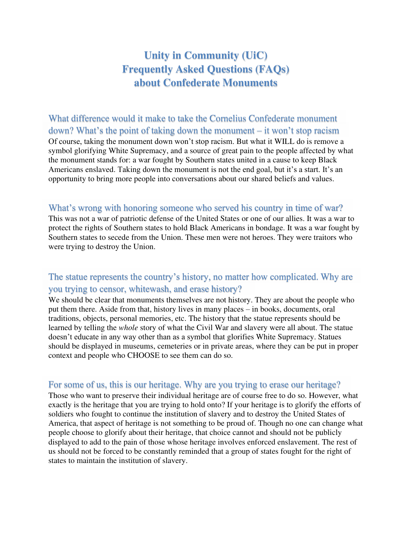# **Unity in Community (UiC) Frequently Asked Questions (FAQs) about Confederate Monuments**

What difference would it make to take the Cornelius Confederate monument down? What's the point of taking down the monument – it won't stop racism Of course, taking the monument down won't stop racism. But what it WILL do is remove a symbol glorifying White Supremacy, and a source of great pain to the people affected by what the monument stands for: a war fought by Southern states united in a cause to keep Black Americans enslaved. Taking down the monument is not the end goal, but it's a start. It's an opportunity to bring more people into conversations about our shared beliefs and values.

#### What's wrong with honoring someone who served his country in time of war?

This was not a war of patriotic defense of the United States or one of our allies. It was a war to protect the rights of Southern states to hold Black Americans in bondage. It was a war fought by Southern states to secede from the Union. These men were not heroes. They were traitors who were trying to destroy the Union.

## The statue represents the country's history, no matter how complicated. Why are you trying to censor, whitewash, and erase history?

We should be clear that monuments themselves are not history. They are about the people who put them there. Aside from that, history lives in many places – in books, documents, oral traditions, objects, personal memories, etc. The history that the statue represents should be learned by telling the *whole* story of what the Civil War and slavery were all about. The statue doesn't educate in any way other than as a symbol that glorifies White Supremacy. Statues should be displayed in museums, cemeteries or in private areas, where they can be put in proper context and people who CHOOSE to see them can do so.

#### For some of us, this is our heritage. Why are you trying to erase our heritage?

Those who want to preserve their individual heritage are of course free to do so. However, what exactly is the heritage that you are trying to hold onto? If your heritage is to glorify the efforts of soldiers who fought to continue the institution of slavery and to destroy the United States of America, that aspect of heritage is not something to be proud of. Though no one can change what people choose to glorify about their heritage, that choice cannot and should not be publicly displayed to add to the pain of those whose heritage involves enforced enslavement. The rest of us should not be forced to be constantly reminded that a group of states fought for the right of states to maintain the institution of slavery.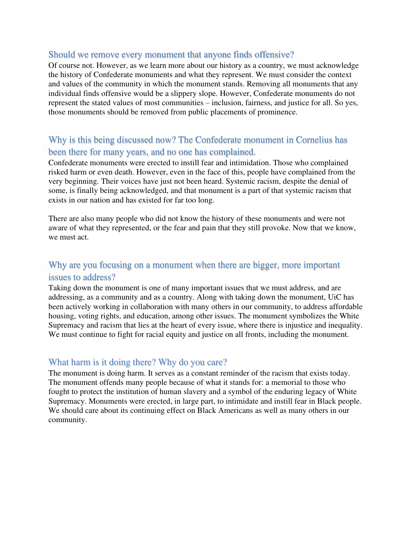#### Should we remove every monument that anyone finds offensive?

Of course not. However, as we learn more about our history as a country, we must acknowledge the history of Confederate monuments and what they represent. We must consider the context and values of the community in which the monument stands. Removing all monuments that any individual finds offensive would be a slippery slope. However, Confederate monuments do not represent the stated values of most communities – inclusion, fairness, and justice for all. So yes, those monuments should be removed from public placements of prominence.

# Why is this being discussed now? The Confederate monument in Cornelius has been there for many years, and no one has complained.

Confederate monuments were erected to instill fear and intimidation. Those who complained risked harm or even death. However, even in the face of this, people have complained from the very beginning. Their voices have just not been heard. Systemic racism, despite the denial of some, is finally being acknowledged, and that monument is a part of that systemic racism that exists in our nation and has existed for far too long.

There are also many people who did not know the history of these monuments and were not aware of what they represented, or the fear and pain that they still provoke. Now that we know, we must act.

## Why are you focusing on a monument when there are bigger, more important issues to address?

Taking down the monument is one of many important issues that we must address, and are addressing, as a community and as a country. Along with taking down the monument, UiC has been actively working in collaboration with many others in our community, to address affordable housing, voting rights, and education, among other issues. The monument symbolizes the White Supremacy and racism that lies at the heart of every issue, where there is injustice and inequality. We must continue to fight for racial equity and justice on all fronts, including the monument.

#### What harm is it doing there? Why do you care?

The monument is doing harm. It serves as a constant reminder of the racism that exists today. The monument offends many people because of what it stands for: a memorial to those who fought to protect the institution of human slavery and a symbol of the enduring legacy of White Supremacy. Monuments were erected, in large part, to intimidate and instill fear in Black people. We should care about its continuing effect on Black Americans as well as many others in our community.